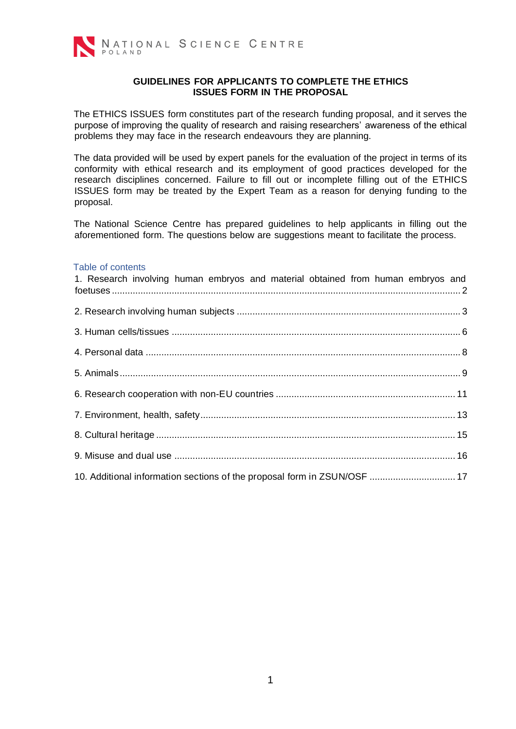

#### **GUIDELINES FOR APPLICANTS TO COMPLETE THE ETHICS ISSUES FORM IN THE PROPOSAL**

The ETHICS ISSUES form constitutes part of the research funding proposal, and it serves the purpose of improving the quality of research and raising researchers' awareness of the ethical problems they may face in the research endeavours they are planning.

The data provided will be used by expert panels for the evaluation of the project in terms of its conformity with ethical research and its employment of good practices developed for the research disciplines concerned. Failure to fill out or incomplete filling out of the ETHICS ISSUES form may be treated by the Expert Team as a reason for denying funding to the proposal.

The National Science Centre has prepared guidelines to help applicants in filling out the aforementioned form. The questions below are suggestions meant to facilitate the process.

#### Table of contents

| 1. Research involving human embryos and material obtained from human embryos and |  |
|----------------------------------------------------------------------------------|--|
|                                                                                  |  |
|                                                                                  |  |
|                                                                                  |  |
|                                                                                  |  |
|                                                                                  |  |
|                                                                                  |  |
|                                                                                  |  |
|                                                                                  |  |
| 10. Additional information sections of the proposal form in ZSUN/OSF  17         |  |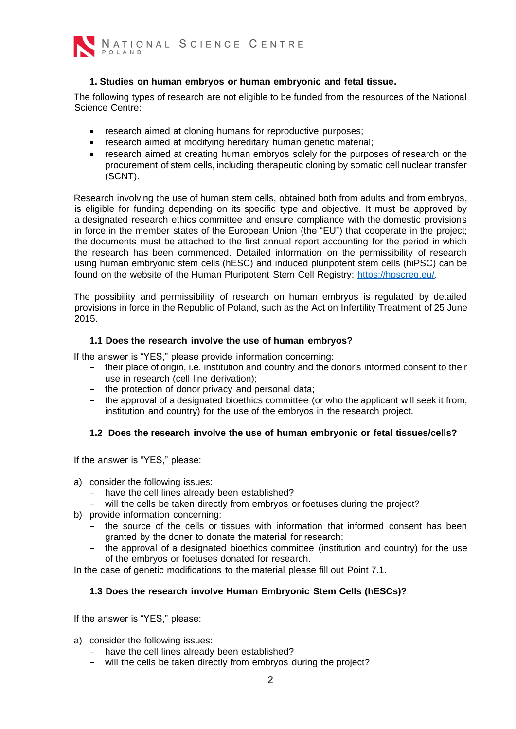

## **1. Studies on human embryos or human embryonic and fetal tissue.**

<span id="page-1-0"></span>The following types of research are not eligible to be funded from the resources of the National Science Centre:

- research aimed at cloning humans for reproductive purposes;
- research aimed at modifying hereditary human genetic material;
- research aimed at creating human embryos solely for the purposes of research or the procurement of stem cells, including therapeutic cloning by somatic cell nuclear transfer (SCNT).

Research involving the use of human stem cells, obtained both from adults and from embryos, is eligible for funding depending on its specific type and objective. It must be approved by a designated research ethics committee and ensure compliance with the domestic provisions in force in the member states of the European Union (the "EU") that cooperate in the project; the documents must be attached to the first annual report accounting for the period in which the research has been commenced. Detailed information on the permissibility of research using human embryonic stem cells (hESC) and induced pluripotent stem cells (hiPSC) can be found on the website of the Human Pluripotent Stem Cell Registry: [https://hpscreg.eu/.](https://hpscreg.eu/) 

The possibility and permissibility of research on human embryos is regulated by detailed provisions in force in the Republic of Poland, such as the Act on Infertility Treatment of 25 June 2015.

#### **1.1 Does the research involve the use of human embryos?**

If the answer is "YES," please provide information concerning:

- their place of origin, i.e. institution and country and the donor's informed consent to their use in research (cell line derivation);
- the protection of donor privacy and personal data;
- the approval of a designated bioethics committee (or who the applicant will seek it from; institution and country) for the use of the embryos in the research project.

# **1.2 Does the research involve the use of human embryonic or fetal tissues/cells?**

If the answer is "YES," please:

- a) consider the following issues:
	- have the cell lines already been established?
	- will the cells be taken directly from embryos or foetuses during the project?
- b) provide information concerning:
	- the source of the cells or tissues with information that informed consent has been granted by the doner to donate the material for research;
	- the approval of a designated bioethics committee (institution and country) for the use of the embryos or foetuses donated for research.

In the case of genetic modifications to the material please fill out Point 7.1.

# **1.3 Does the research involve Human Embryonic Stem Cells (hESCs)?**

- a) consider the following issues:
	- have the cell lines already been established?
	- will the cells be taken directly from embryos during the project?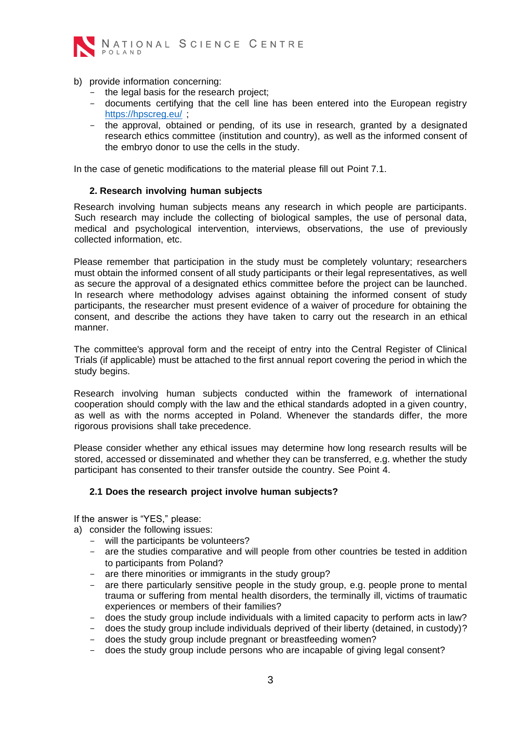

- b) provide information concerning:
	- the legal basis for the research project:
	- documents certifying that the cell line has been entered into the European registry <https://hpscreg.eu/>:
	- the approval, obtained or pending, of its use in research, granted by a designated research ethics committee (institution and country), as well as the informed consent of the embryo donor to use the cells in the study.

In the case of genetic modifications to the material please fill out Point 7.1.

### **2. Research involving human subjects**

<span id="page-2-0"></span>Research involving human subjects means any research in which people are participants. Such research may include the collecting of biological samples, the use of personal data, medical and psychological intervention, interviews, observations, the use of previously collected information, etc.

Please remember that participation in the study must be completely voluntary; researchers must obtain the informed consent of all study participants or their legal representatives, as well as secure the approval of a designated ethics committee before the project can be launched. In research where methodology advises against obtaining the informed consent of study participants, the researcher must present evidence of a waiver of procedure for obtaining the consent, and describe the actions they have taken to carry out the research in an ethical manner.

The committee's approval form and the receipt of entry into the Central Register of Clinical Trials (if applicable) must be attached to the first annual report covering the period in which the study begins.

Research involving human subjects conducted within the framework of international cooperation should comply with the law and the ethical standards adopted in a given country, as well as with the norms accepted in Poland. Whenever the standards differ, the more rigorous provisions shall take precedence.

Please consider whether any ethical issues may determine how long research results will be stored, accessed or disseminated and whether they can be transferred, e.g. whether the study participant has consented to their transfer outside the country. See Point 4.

# **2.1 Does the research project involve human subjects?**

- a) consider the following issues:
	- will the participants be volunteers?
	- are the studies comparative and will people from other countries be tested in addition to participants from Poland?
	- are there minorities or immigrants in the study group?
	- are there particularly sensitive people in the study group, e.g. people prone to mental trauma or suffering from mental health disorders, the terminally ill, victims of traumatic experiences or members of their families?
	- does the study group include individuals with a limited capacity to perform acts in law?
	- does the study group include individuals deprived of their liberty (detained, in custody)?
	- does the study group include pregnant or breastfeeding women?
	- does the study group include persons who are incapable of giving legal consent?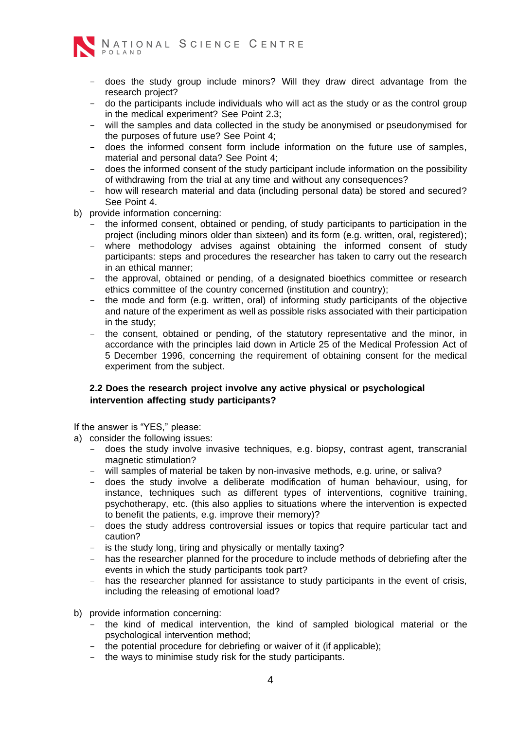

- does the study group include minors? Will they draw direct advantage from the research project?
- do the participants include individuals who will act as the study or as the control group in the medical experiment? See Point 2.3;
- will the samples and data collected in the study be anonymised or pseudonymised for the purposes of future use? See Point 4;
- does the informed consent form include information on the future use of samples, material and personal data? See Point 4;
- does the informed consent of the study participant include information on the possibility of withdrawing from the trial at any time and without any consequences?
- how will research material and data (including personal data) be stored and secured? See Point 4.
- b) provide information concerning:
	- the informed consent, obtained or pending, of study participants to participation in the project (including minors older than sixteen) and its form (e.g. written, oral, registered);
	- where methodology advises against obtaining the informed consent of study participants: steps and procedures the researcher has taken to carry out the research in an ethical manner;
	- the approval, obtained or pending, of a designated bioethics committee or research ethics committee of the country concerned (institution and country);
	- the mode and form (e.g. written, oral) of informing study participants of the objective and nature of the experiment as well as possible risks associated with their participation in the study;
	- the consent, obtained or pending, of the statutory representative and the minor, in accordance with the principles laid down in Article 25 of the Medical Profession Act of 5 December 1996, concerning the requirement of obtaining consent for the medical experiment from the subject.

# **2.2 Does the research project involve any active physical or psychological intervention affecting study participants?**

If the answer is "YES," please:

a) consider the following issues:

- does the study involve invasive techniques, e.g. biopsy, contrast agent, transcranial magnetic stimulation?
- will samples of material be taken by non-invasive methods, e.g. urine, or saliva?
- does the study involve a deliberate modification of human behaviour, using, for instance, techniques such as different types of interventions, cognitive training, psychotherapy, etc. (this also applies to situations where the intervention is expected to benefit the patients, e.g. improve their memory)?
- does the study address controversial issues or topics that require particular tact and caution?
- is the study long, tiring and physically or mentally taxing?
- has the researcher planned for the procedure to include methods of debriefing after the events in which the study participants took part?
- has the researcher planned for assistance to study participants in the event of crisis, including the releasing of emotional load?
- b) provide information concerning:
	- the kind of medical intervention, the kind of sampled biological material or the psychological intervention method;
	- the potential procedure for debriefing or waiver of it (if applicable);
	- the ways to minimise study risk for the study participants.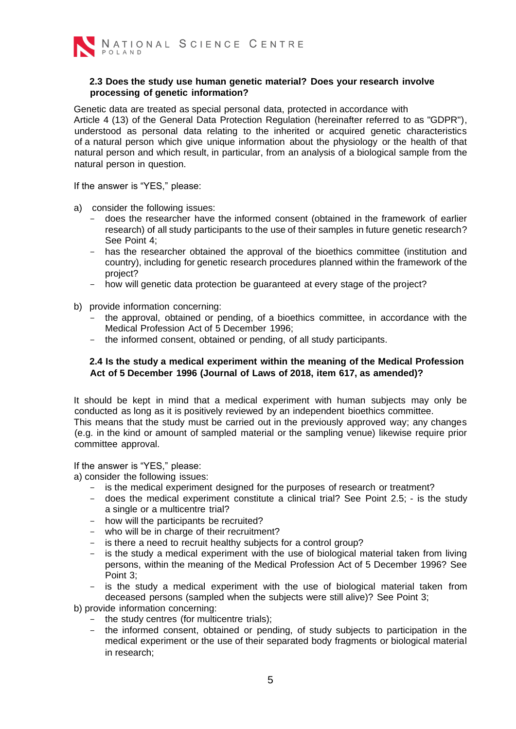

### **2.3 Does the study use human genetic material? Does your research involve processing of genetic information?**

Genetic data are treated as special personal data, protected in accordance with Article 4 (13) of the General Data Protection Regulation (hereinafter referred to as "GDPR"), understood as personal data relating to the inherited or acquired genetic characteristics of a natural person which give unique information about the physiology or the health of that natural person and which result, in particular, from an analysis of a biological sample from the natural person in question.

If the answer is "YES," please:

- a) consider the following issues:
	- does the researcher have the informed consent (obtained in the framework of earlier research) of all study participants to the use of their samples in future genetic research? See Point 4;
	- has the researcher obtained the approval of the bioethics committee (institution and country), including for genetic research procedures planned within the framework of the project?
	- how will genetic data protection be guaranteed at every stage of the project?
- b) provide information concerning:
	- the approval, obtained or pending, of a bioethics committee, in accordance with the Medical Profession Act of 5 December 1996;
	- the informed consent, obtained or pending, of all study participants.

### **2.4 Is the study a medical experiment within the meaning of the Medical Profession Act of 5 December 1996 (Journal of Laws of 2018, item 617, as amended)?**

It should be kept in mind that a medical experiment with human subjects may only be conducted as long as it is positively reviewed by an independent bioethics committee. This means that the study must be carried out in the previously approved way; any changes (e.g. in the kind or amount of sampled material or the sampling venue) likewise require prior committee approval.

If the answer is "YES," please:

a) consider the following issues:

- is the medical experiment designed for the purposes of research or treatment?
- does the medical experiment constitute a clinical trial? See Point 2.5; is the study a single or a multicentre trial?
- how will the participants be recruited?
- who will be in charge of their recruitment?
- is there a need to recruit healthy subjects for a control group?
- is the study a medical experiment with the use of biological material taken from living persons, within the meaning of the Medical Profession Act of 5 December 1996? See Point 3;
- is the study a medical experiment with the use of biological material taken from deceased persons (sampled when the subjects were still alive)? See Point 3;

b) provide information concerning:

- the study centres (for multicentre trials);
- the informed consent, obtained or pending, of study subjects to participation in the medical experiment or the use of their separated body fragments or biological material in research;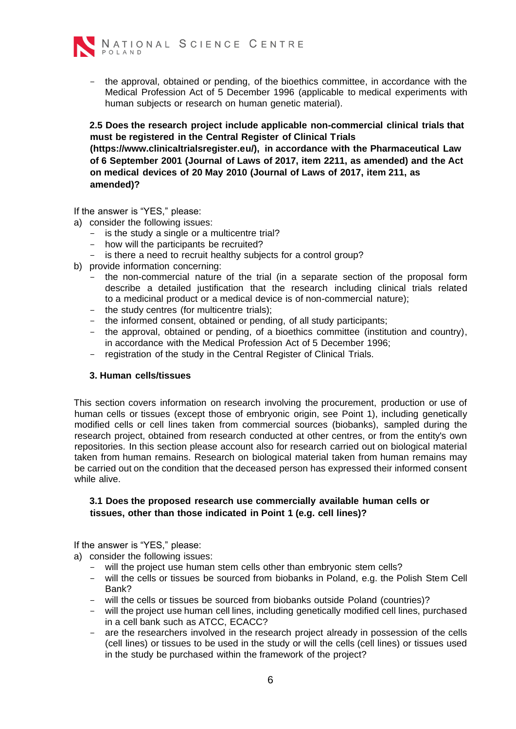- the approval, obtained or pending, of the bioethics committee, in accordance with the Medical Profession Act of 5 December 1996 (applicable to medical experiments with human subjects or research on human genetic material).

**2.5 Does the research project include applicable non-commercial clinical trials that must be registered in the Central Register of Clinical Trials (https://www.clinicaltrialsregister.eu/), in accordance with the Pharmaceutical Law of 6 September 2001 (Journal of Laws of 2017, item 2211, as amended) and the Act on medical devices of 20 May 2010 (Journal of Laws of 2017, item 211, as amended)?** 

If the answer is "YES," please:

a) consider the following issues:

- is the study a single or a multicentre trial?
- how will the participants be recruited?
- is there a need to recruit healthy subjects for a control group?
- b) provide information concerning:
	- the non-commercial nature of the trial (in a separate section of the proposal form describe a detailed justification that the research including clinical trials related to a medicinal product or a medical device is of non-commercial nature);
	- the study centres (for multicentre trials);
	- the informed consent, obtained or pending, of all study participants;
	- the approval, obtained or pending, of a bioethics committee (institution and country), in accordance with the Medical Profession Act of 5 December 1996;
	- registration of the study in the Central Register of Clinical Trials.

#### <span id="page-5-0"></span>**3. Human cells/tissues**

This section covers information on research involving the procurement, production or use of human cells or tissues (except those of embryonic origin, see Point 1), including genetically modified cells or cell lines taken from commercial sources (biobanks), sampled during the research project, obtained from research conducted at other centres, or from the entity's own repositories. In this section please account also for research carried out on biological material taken from human remains. Research on biological material taken from human remains may be carried out on the condition that the deceased person has expressed their informed consent while alive.

### **3.1 Does the proposed research use commercially available human cells or tissues, other than those indicated in Point 1 (e.g. cell lines)?**

- a) consider the following issues:
	- will the project use human stem cells other than embryonic stem cells?
	- will the cells or tissues be sourced from biobanks in Poland, e.g. the Polish Stem Cell Bank?
	- will the cells or tissues be sourced from biobanks outside Poland (countries)?
	- will the project use human cell lines, including genetically modified cell lines, purchased in a cell bank such as ATCC, ECACC?
	- are the researchers involved in the research project already in possession of the cells (cell lines) or tissues to be used in the study or will the cells (cell lines) or tissues used in the study be purchased within the framework of the project?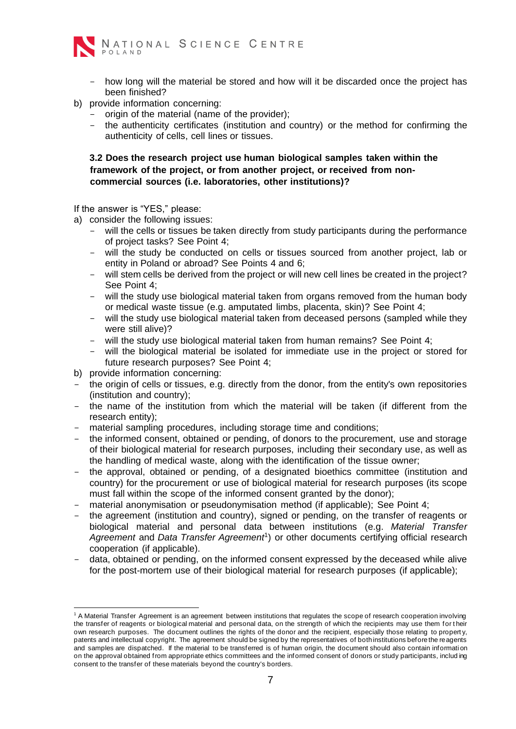

- how long will the material be stored and how will it be discarded once the project has been finished?
- b) provide information concerning:
	- origin of the material (name of the provider);
	- the authenticity certificates (institution and country) or the method for confirming the authenticity of cells, cell lines or tissues.

**3.2 Does the research project use human biological samples taken within the framework of the project, or from another project, or received from noncommercial sources (i.e. laboratories, other institutions)?** 

- a) consider the following issues:
	- will the cells or tissues be taken directly from study participants during the performance of project tasks? See Point 4;
	- will the study be conducted on cells or tissues sourced from another project, lab or entity in Poland or abroad? See Points 4 and 6;
	- will stem cells be derived from the project or will new cell lines be created in the project? See Point 4;
	- will the study use biological material taken from organs removed from the human body or medical waste tissue (e.g. amputated limbs, placenta, skin)? See Point 4;
	- will the study use biological material taken from deceased persons (sampled while they were still alive)?
	- will the study use biological material taken from human remains? See Point 4;
	- will the biological material be isolated for immediate use in the project or stored for future research purposes? See Point 4;
- b) provide information concerning:
- the origin of cells or tissues, e.g. directly from the donor, from the entity's own repositories (institution and country);
- the name of the institution from which the material will be taken (if different from the research entity);
- material sampling procedures, including storage time and conditions;
- the informed consent, obtained or pending, of donors to the procurement, use and storage of their biological material for research purposes, including their secondary use, as well as the handling of medical waste, along with the identification of the tissue owner;
- the approval, obtained or pending, of a designated bioethics committee (institution and country) for the procurement or use of biological material for research purposes (its scope must fall within the scope of the informed consent granted by the donor);
- material anonymisation or pseudonymisation method (if applicable); See Point 4;
- the agreement (institution and country), signed or pending, on the transfer of reagents or biological material and personal data between institutions (e.g. *Material Transfer*  Agreement and Data Transfer Agreement<sup>1</sup>) or other documents certifying official research cooperation (if applicable).
- data, obtained or pending, on the informed consent expressed by the deceased while alive for the post-mortem use of their biological material for research purposes (if applicable);

<sup>&</sup>lt;sup>1</sup> A Material Transfer Agreement is an agreement between institutions that regulates the scope of research cooperation involving the transfer of reagents or biological material and personal data, on the strength of which the recipients may use them for t heir own research purposes. The document outlines the rights of the donor and the recipient, especially those relating to propert y, patents and intellectual copyright. The agreement should be signed by the representatives of both institutions before the reagents and samples are dispatched. If the material to be transferred is of human origin, the document should also contain informati on on the approval obtained from appropriate ethics committees and the informed consent of donors or study participants, includ ing consent to the transfer of these materials beyond the country's borders.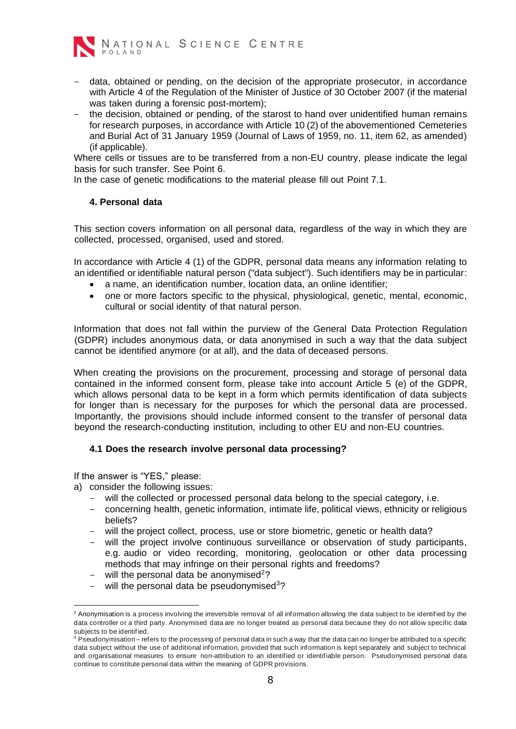

- data, obtained or pending, on the decision of the appropriate prosecutor, in accordance with Article 4 of the Regulation of the Minister of Justice of 30 October 2007 (if the material was taken during a forensic post-mortem);
- the decision, obtained or pending, of the starost to hand over unidentified human remains for research purposes, in accordance with Article 10 (2) of the abovementioned Cemeteries and Burial Act of 31 January 1959 (Journal of Laws of 1959, no. 11, item 62, as amended) (if applicable).

Where cells or tissues are to be transferred from a non-EU country, please indicate the legal basis for such transfer. See Point 6.

In the case of genetic modifications to the material please fill out Point 7.1.

### <span id="page-7-0"></span>**4. Personal data**

This section covers information on all personal data, regardless of the way in which they are collected, processed, organised, used and stored.

In accordance with Article 4 (1) of the GDPR, personal data means any information relating to an identified or identifiable natural person ("data subject"). Such identifiers may be in particular:

- a name, an identification number, location data, an online identifier;
- one or more factors specific to the physical, physiological, genetic, mental, economic, cultural or social identity of that natural person.

Information that does not fall within the purview of the General Data Protection Regulation (GDPR) includes anonymous data, or data anonymised in such a way that the data subject cannot be identified anymore (or at all), and the data of deceased persons.

When creating the provisions on the procurement, processing and storage of personal data contained in the informed consent form, please take into account Article 5 (e) of the GDPR, which allows personal data to be kept in a form which permits identification of data subjects for longer than is necessary for the purposes for which the personal data are processed. Importantly, the provisions should include informed consent to the transfer of personal data beyond the research-conducting institution, including to other EU and non-EU countries.

# **4.1 Does the research involve personal data processing?**

- a) consider the following issues:
	- will the collected or processed personal data belong to the special category, i.e.
	- concerning health, genetic information, intimate life, political views, ethnicity or religious beliefs?
	- will the project collect, process, use or store biometric, genetic or health data?
	- will the project involve continuous surveillance or observation of study participants, e.g. audio or video recording, monitoring, geolocation or other data processing methods that may infringe on their personal rights and freedoms?
	- will the personal data be anonymised<sup>2</sup>?
	- will the personal data be pseudonymised<sup>3</sup>?

<sup>&</sup>lt;sup>2</sup> Anonymisation is a process involving the irreversible removal of all information allowing the data subject to be identified by the data controller or a third party. Anonymised data are no longer treated as personal data because they do not allow specific data subjects to be identified.

<sup>&</sup>lt;sup>3</sup> Pseudonymisation – refers to the processing of personal data in such a way that the data can no longer be attributed to a specific data subject without the use of additional information, provided that such information is kept separately and subject to technical and organisational measures to ensure non-attribution to an identified or identifiable person. Pseudonymised personal data continue to constitute personal data within the meaning of GDPR provisions.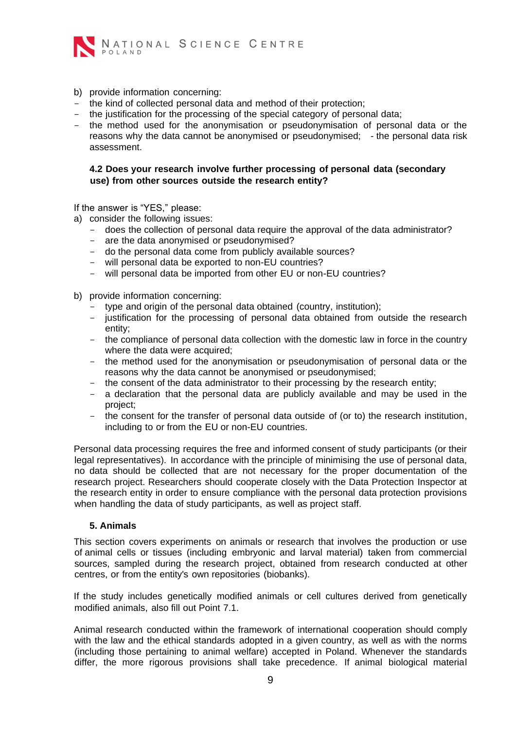

- b) provide information concerning:
- the kind of collected personal data and method of their protection;
- the justification for the processing of the special category of personal data;
- the method used for the anonymisation or pseudonymisation of personal data or the reasons why the data cannot be anonymised or pseudonymised; - the personal data risk assessment.

# **4.2 Does your research involve further processing of personal data (secondary use) from other sources outside the research entity?**

If the answer is "YES," please:

- a) consider the following issues:
	- does the collection of personal data require the approval of the data administrator?
	- are the data anonymised or pseudonymised?
	- do the personal data come from publicly available sources?
	- will personal data be exported to non-EU countries?
	- will personal data be imported from other EU or non-EU countries?
- b) provide information concerning:
	- type and origin of the personal data obtained (country, institution);
	- justification for the processing of personal data obtained from outside the research entity;
	- the compliance of personal data collection with the domestic law in force in the country where the data were acquired;
	- the method used for the anonymisation or pseudonymisation of personal data or the reasons why the data cannot be anonymised or pseudonymised;
	- the consent of the data administrator to their processing by the research entity;
	- a declaration that the personal data are publicly available and may be used in the project;
	- the consent for the transfer of personal data outside of (or to) the research institution, including to or from the EU or non-EU countries.

Personal data processing requires the free and informed consent of study participants (or their legal representatives). In accordance with the principle of minimising the use of personal data, no data should be collected that are not necessary for the proper documentation of the research project. Researchers should cooperate closely with the Data Protection Inspector at the research entity in order to ensure compliance with the personal data protection provisions when handling the data of study participants, as well as project staff.

#### **5. Animals**

<span id="page-8-0"></span>This section covers experiments on animals or research that involves the production or use of animal cells or tissues (including embryonic and larval material) taken from commercial sources, sampled during the research project, obtained from research conducted at other centres, or from the entity's own repositories (biobanks).

If the study includes genetically modified animals or cell cultures derived from genetically modified animals, also fill out Point 7.1.

Animal research conducted within the framework of international cooperation should comply with the law and the ethical standards adopted in a given country, as well as with the norms (including those pertaining to animal welfare) accepted in Poland. Whenever the standards differ, the more rigorous provisions shall take precedence. If animal biological material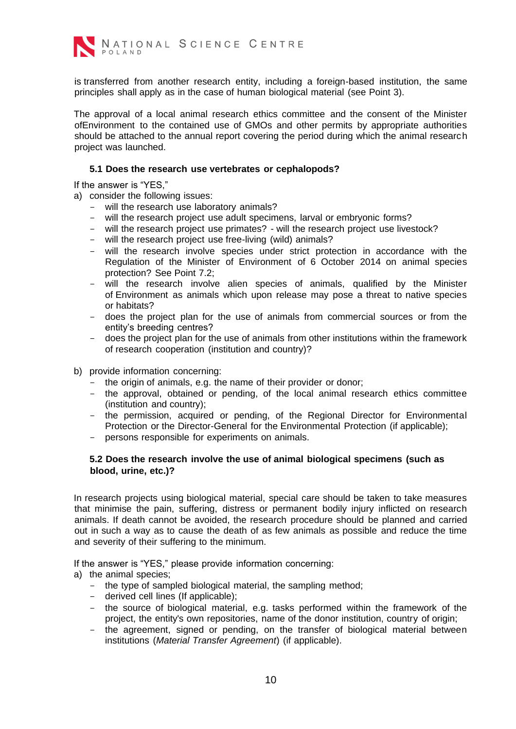

is transferred from another research entity, including a foreign-based institution, the same principles shall apply as in the case of human biological material (see Point 3).

The approval of a local animal research ethics committee and the consent of the Minister ofEnvironment to the contained use of GMOs and other permits by appropriate authorities should be attached to the annual report covering the period during which the animal research project was launched.

### **5.1 Does the research use vertebrates or cephalopods?**

If the answer is "YES,"

a) consider the following issues:

- will the research use laboratory animals?
- will the research project use adult specimens, larval or embryonic forms?
- will the research project use primates? will the research project use livestock?
- will the research project use free-living (wild) animals?
- will the research involve species under strict protection in accordance with the Regulation of the Minister of Environment of 6 October 2014 on animal species protection? See Point 7.2;
- will the research involve alien species of animals, qualified by the Minister of Environment as animals which upon release may pose a threat to native species or habitats?
- does the project plan for the use of animals from commercial sources or from the entity's breeding centres?
- does the project plan for the use of animals from other institutions within the framework of research cooperation (institution and country)?
- b) provide information concerning:
	- the origin of animals, e.g. the name of their provider or donor;
	- the approval, obtained or pending, of the local animal research ethics committee (institution and country);
	- the permission, acquired or pending, of the Regional Director for Environmental Protection or the Director-General for the Environmental Protection (if applicable);
	- persons responsible for experiments on animals.

# **5.2 Does the research involve the use of animal biological specimens (such as blood, urine, etc.)?**

In research projects using biological material, special care should be taken to take measures that minimise the pain, suffering, distress or permanent bodily injury inflicted on research animals. If death cannot be avoided, the research procedure should be planned and carried out in such a way as to cause the death of as few animals as possible and reduce the time and severity of their suffering to the minimum.

If the answer is "YES," please provide information concerning:

a) the animal species;

- the type of sampled biological material, the sampling method;
- derived cell lines (If applicable);
- the source of biological material, e.g. tasks performed within the framework of the project, the entity's own repositories, name of the donor institution, country of origin;
- the agreement, signed or pending, on the transfer of biological material between institutions (*Material Transfer Agreement*) (if applicable).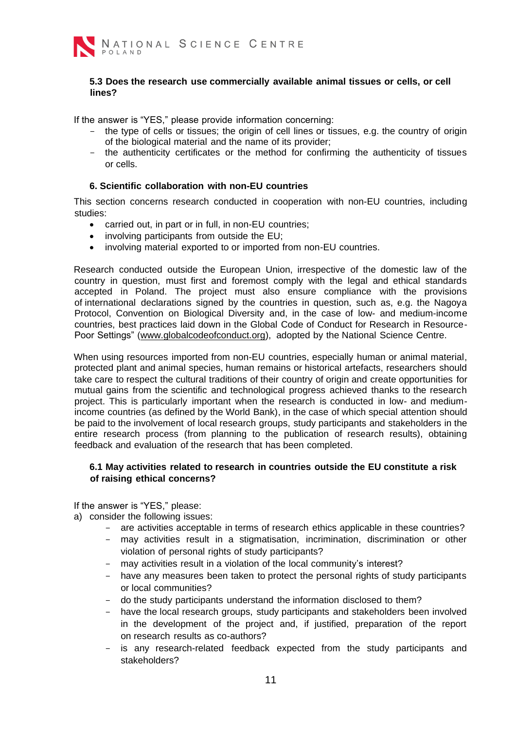

### **5.3 Does the research use commercially available animal tissues or cells, or cell lines?**

If the answer is "YES," please provide information concerning:

- the type of cells or tissues; the origin of cell lines or tissues, e.g. the country of origin of the biological material and the name of its provider;
- the authenticity certificates or the method for confirming the authenticity of tissues or cells.

### **6. Scientific collaboration with non-EU countries**

<span id="page-10-0"></span>This section concerns research conducted in cooperation with non-EU countries, including studies:

- carried out, in part or in full, in non-EU countries;
- involving participants from outside the EU;
- involving material exported to or imported from non-EU countries.

Research conducted outside the European Union, irrespective of the domestic law of the country in question, must first and foremost comply with the legal and ethical standards accepted in Poland. The project must also ensure compliance with the provisions of international declarations signed by the countries in question, such as, e.g. the Nagoya Protocol, Convention on Biological Diversity and, in the case of low- and medium-income countries, best practices laid down in the Global Code of Conduct for Research in Resource-Poor Settings" [\(www.globalcodeofconduct.org\),](http://www.globalcodeofconduct.org/) adopted by the National Science Centre.

When using resources imported from non-EU countries, especially human or animal material, protected plant and animal species, human remains or historical artefacts, researchers should take care to respect the cultural traditions of their country of origin and create opportunities for mutual gains from the scientific and technological progress achieved thanks to the research project. This is particularly important when the research is conducted in low- and mediumincome countries (as defined by the World Bank), in the case of which special attention should be paid to the involvement of local research groups, study participants and stakeholders in the entire research process (from planning to the publication of research results), obtaining feedback and evaluation of the research that has been completed.

# **6.1 May activities related to research in countries outside the EU constitute a risk of raising ethical concerns?**

- a) consider the following issues:
	- are activities acceptable in terms of research ethics applicable in these countries?
	- may activities result in a stigmatisation, incrimination, discrimination or other violation of personal rights of study participants?
	- may activities result in a violation of the local community's interest?
	- have any measures been taken to protect the personal rights of study participants or local communities?
	- do the study participants understand the information disclosed to them?
	- have the local research groups, study participants and stakeholders been involved in the development of the project and, if justified, preparation of the report on research results as co-authors?
	- is any research-related feedback expected from the study participants and stakeholders?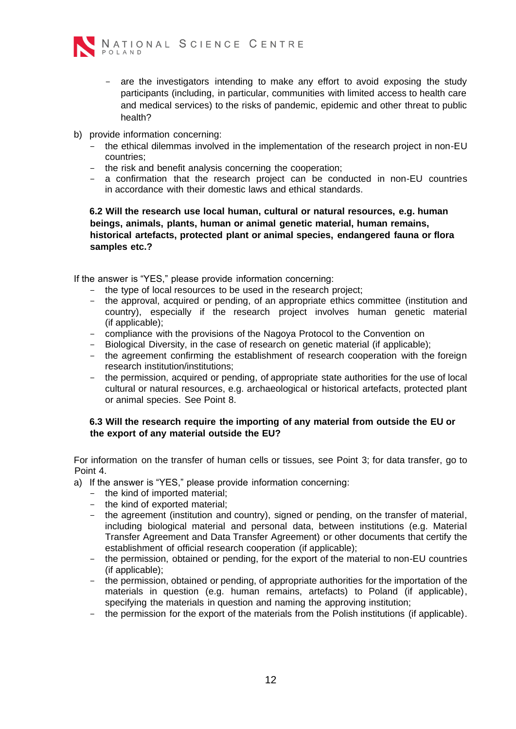

- are the investigators intending to make any effort to avoid exposing the study participants (including, in particular, communities with limited access to health care and medical services) to the risks of pandemic, epidemic and other threat to public health?
- b) provide information concerning:
	- the ethical dilemmas involved in the implementation of the research project in non-EU countries;
	- the risk and benefit analysis concerning the cooperation;
	- a confirmation that the research project can be conducted in non-EU countries in accordance with their domestic laws and ethical standards.

**6.2 Will the research use local human, cultural or natural resources, e.g. human beings, animals, plants, human or animal genetic material, human remains, historical artefacts, protected plant or animal species, endangered fauna or flora samples etc.?** 

If the answer is "YES," please provide information concerning:

- the type of local resources to be used in the research project;
- the approval, acquired or pending, of an appropriate ethics committee (institution and country), especially if the research project involves human genetic material (if applicable);
- compliance with the provisions of the Nagoya Protocol to the Convention on
- Biological Diversity, in the case of research on genetic material (if applicable);
- the agreement confirming the establishment of research cooperation with the foreign research institution/institutions;
- the permission, acquired or pending, of appropriate state authorities for the use of local cultural or natural resources, e.g. archaeological or historical artefacts, protected plant or animal species. See Point 8.

# **6.3 Will the research require the importing of any material from outside the EU or the export of any material outside the EU?**

For information on the transfer of human cells or tissues, see Point 3; for data transfer, go to Point 4.

- a) If the answer is "YES," please provide information concerning:
	- the kind of imported material;
	- the kind of exported material;
	- the agreement (institution and country), signed or pending, on the transfer of material, including biological material and personal data, between institutions (e.g. Material Transfer Agreement and Data Transfer Agreement) or other documents that certify the establishment of official research cooperation (if applicable);
	- the permission, obtained or pending, for the export of the material to non-EU countries (if applicable);
	- the permission, obtained or pending, of appropriate authorities for the importation of the materials in question (e.g. human remains, artefacts) to Poland (if applicable), specifying the materials in question and naming the approving institution;
	- the permission for the export of the materials from the Polish institutions (if applicable).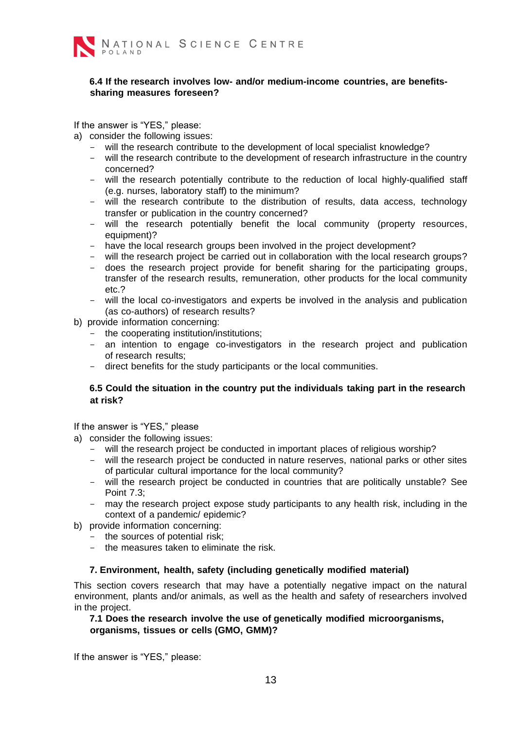

### **6.4 If the research involves low- and/or medium-income countries, are benefitssharing measures foreseen?**

If the answer is "YES," please:

a) consider the following issues:

- will the research contribute to the development of local specialist knowledge?
- will the research contribute to the development of research infrastructure in the country concerned?
- will the research potentially contribute to the reduction of local highly-qualified staff (e.g. nurses, laboratory staff) to the minimum?
- will the research contribute to the distribution of results, data access, technology transfer or publication in the country concerned?
- will the research potentially benefit the local community (property resources, equipment)?
- have the local research groups been involved in the project development?
- will the research project be carried out in collaboration with the local research groups?
- does the research project provide for benefit sharing for the participating groups, transfer of the research results, remuneration, other products for the local community etc.?
- will the local co-investigators and experts be involved in the analysis and publication (as co-authors) of research results?
- b) provide information concerning:
	- the cooperating institution/institutions;
	- an intention to engage co-investigators in the research project and publication of research results;
	- direct benefits for the study participants or the local communities.

# **6.5 Could the situation in the country put the individuals taking part in the research at risk?**

If the answer is "YES," please

- a) consider the following issues:
	- will the research project be conducted in important places of religious worship?
	- will the research project be conducted in nature reserves, national parks or other sites of particular cultural importance for the local community?
	- will the research project be conducted in countries that are politically unstable? See Point 7.3;
	- may the research project expose study participants to any health risk, including in the context of a pandemic/ epidemic?
- b) provide information concerning:
	- the sources of potential risk;
	- the measures taken to eliminate the risk.

#### **7. Environment, health, safety (including genetically modified material)**

<span id="page-12-0"></span>This section covers research that may have a potentially negative impact on the natural environment, plants and/or animals, as well as the health and safety of researchers involved in the project.

### **7.1 Does the research involve the use of genetically modified microorganisms, organisms, tissues or cells (GMO, GMM)?**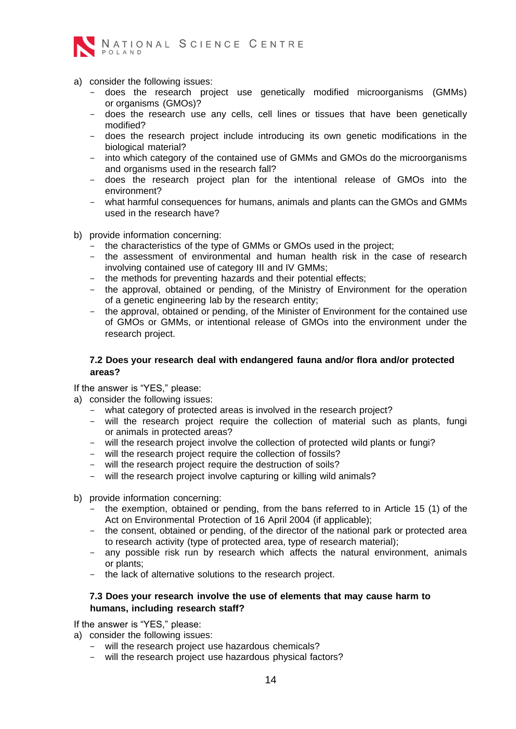

- a) consider the following issues:
	- does the research project use genetically modified microorganisms (GMMs) or organisms (GMOs)?
	- does the research use any cells, cell lines or tissues that have been genetically modified?
	- does the research project include introducing its own genetic modifications in the biological material?
	- into which category of the contained use of GMMs and GMOs do the microorganisms and organisms used in the research fall?
	- does the research project plan for the intentional release of GMOs into the environment?
	- what harmful consequences for humans, animals and plants can the GMOs and GMMs used in the research have?
- b) provide information concerning:
	- the characteristics of the type of GMMs or GMOs used in the project;
	- the assessment of environmental and human health risk in the case of research involving contained use of category III and IV GMMs;
	- the methods for preventing hazards and their potential effects;
	- the approval, obtained or pending, of the Ministry of Environment for the operation of a genetic engineering lab by the research entity;
	- the approval, obtained or pending, of the Minister of Environment for the contained use of GMOs or GMMs, or intentional release of GMOs into the environment under the research project.

### **7.2 Does your research deal with endangered fauna and/or flora and/or protected areas?**

If the answer is "YES," please:

- a) consider the following issues:
	- what category of protected areas is involved in the research project?
	- will the research project require the collection of material such as plants, fungi or animals in protected areas?
	- will the research project involve the collection of protected wild plants or fungi?
	- will the research project require the collection of fossils?
	- will the research project require the destruction of soils?
	- will the research project involve capturing or killing wild animals?
- b) provide information concerning:
	- the exemption, obtained or pending, from the bans referred to in Article 15 (1) of the Act on Environmental Protection of 16 April 2004 (if applicable);
	- the consent, obtained or pending, of the director of the national park or protected area to research activity (type of protected area, type of research material);
	- any possible risk run by research which affects the natural environment, animals or plants;
	- the lack of alternative solutions to the research project.

#### **7.3 Does your research involve the use of elements that may cause harm to humans, including research staff?**

If the answer is "YES," please:

a) consider the following issues:

- will the research project use hazardous chemicals?
- will the research project use hazardous physical factors?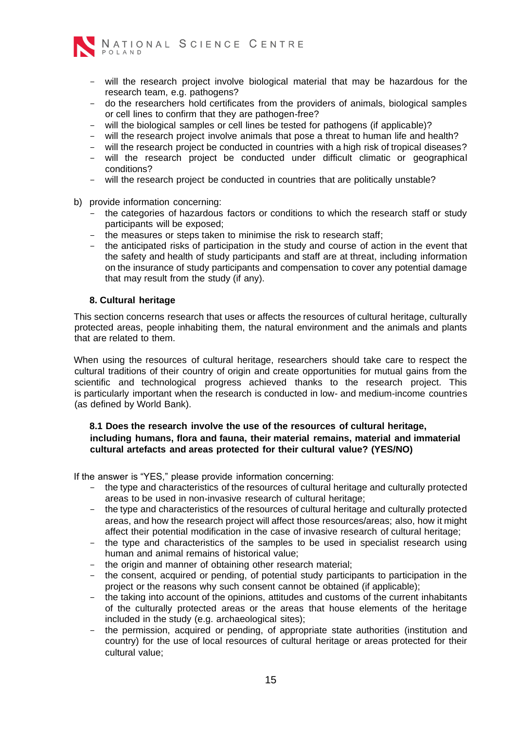

- will the research project involve biological material that may be hazardous for the research team, e.g. pathogens?
- do the researchers hold certificates from the providers of animals, biological samples or cell lines to confirm that they are pathogen-free?
- will the biological samples or cell lines be tested for pathogens (if applicable)?
- will the research project involve animals that pose a threat to human life and health?
- will the research project be conducted in countries with a high risk of tropical diseases?
- will the research project be conducted under difficult climatic or geographical conditions?
- will the research project be conducted in countries that are politically unstable?
- b) provide information concerning:
	- the categories of hazardous factors or conditions to which the research staff or study participants will be exposed;
	- the measures or steps taken to minimise the risk to research staff;
	- the anticipated risks of participation in the study and course of action in the event that the safety and health of study participants and staff are at threat, including information on the insurance of study participants and compensation to cover any potential damage that may result from the study (if any).

#### **8. Cultural heritage**

<span id="page-14-0"></span>This section concerns research that uses or affects the resources of cultural heritage, culturally protected areas, people inhabiting them, the natural environment and the animals and plants that are related to them.

When using the resources of cultural heritage, researchers should take care to respect the cultural traditions of their country of origin and create opportunities for mutual gains from the scientific and technological progress achieved thanks to the research project. This is particularly important when the research is conducted in low- and medium-income countries (as defined by World Bank).

# **8.1 Does the research involve the use of the resources of cultural heritage, including humans, flora and fauna, their material remains, material and immaterial cultural artefacts and areas protected for their cultural value? (YES/NO)**

If the answer is "YES," please provide information concerning:

- the type and characteristics of the resources of cultural heritage and culturally protected areas to be used in non-invasive research of cultural heritage;
- the type and characteristics of the resources of cultural heritage and culturally protected areas, and how the research project will affect those resources/areas; also, how it might affect their potential modification in the case of invasive research of cultural heritage;
- the type and characteristics of the samples to be used in specialist research using human and animal remains of historical value;
- the origin and manner of obtaining other research material;
- the consent, acquired or pending, of potential study participants to participation in the project or the reasons why such consent cannot be obtained (if applicable);
- the taking into account of the opinions, attitudes and customs of the current inhabitants of the culturally protected areas or the areas that house elements of the heritage included in the study (e.g. archaeological sites);
- the permission, acquired or pending, of appropriate state authorities (institution and country) for the use of local resources of cultural heritage or areas protected for their cultural value;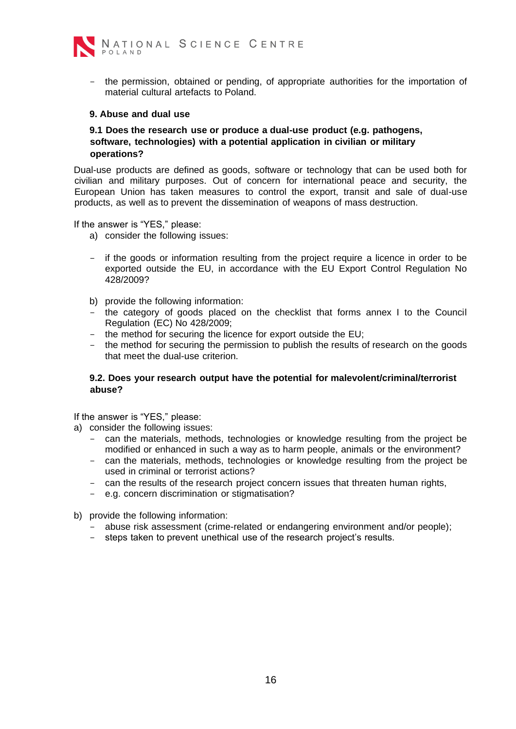

- the permission, obtained or pending, of appropriate authorities for the importation of material cultural artefacts to Poland.

#### <span id="page-15-0"></span>**9. Abuse and dual use**

### **9.1 Does the research use or produce a dual-use product (e.g. pathogens, software, technologies) with a potential application in civilian or military operations?**

Dual-use products are defined as goods, software or technology that can be used both for civilian and military purposes. Out of concern for international peace and security, the European Union has taken measures to control the export, transit and sale of dual-use products, as well as to prevent the dissemination of weapons of mass destruction.

If the answer is "YES," please:

- a) consider the following issues:
- if the goods or information resulting from the project require a licence in order to be exported outside the EU, in accordance with the EU Export Control Regulation No 428/2009?
- b) provide the following information:
- the category of goods placed on the checklist that forms annex I to the Council Regulation (EC) No 428/2009;
- the method for securing the licence for export outside the EU;
- the method for securing the permission to publish the results of research on the goods that meet the dual-use criterion.

### **9.2. Does your research output have the potential for malevolent/criminal/terrorist abuse?**

- a) consider the following issues:
	- can the materials, methods, technologies or knowledge resulting from the project be modified or enhanced in such a way as to harm people, animals or the environment?
	- can the materials, methods, technologies or knowledge resulting from the project be used in criminal or terrorist actions?
	- can the results of the research project concern issues that threaten human rights,
	- e.g. concern discrimination or stigmatisation?
- b) provide the following information:
	- abuse risk assessment (crime-related or endangering environment and/or people);
	- steps taken to prevent unethical use of the research project's results.